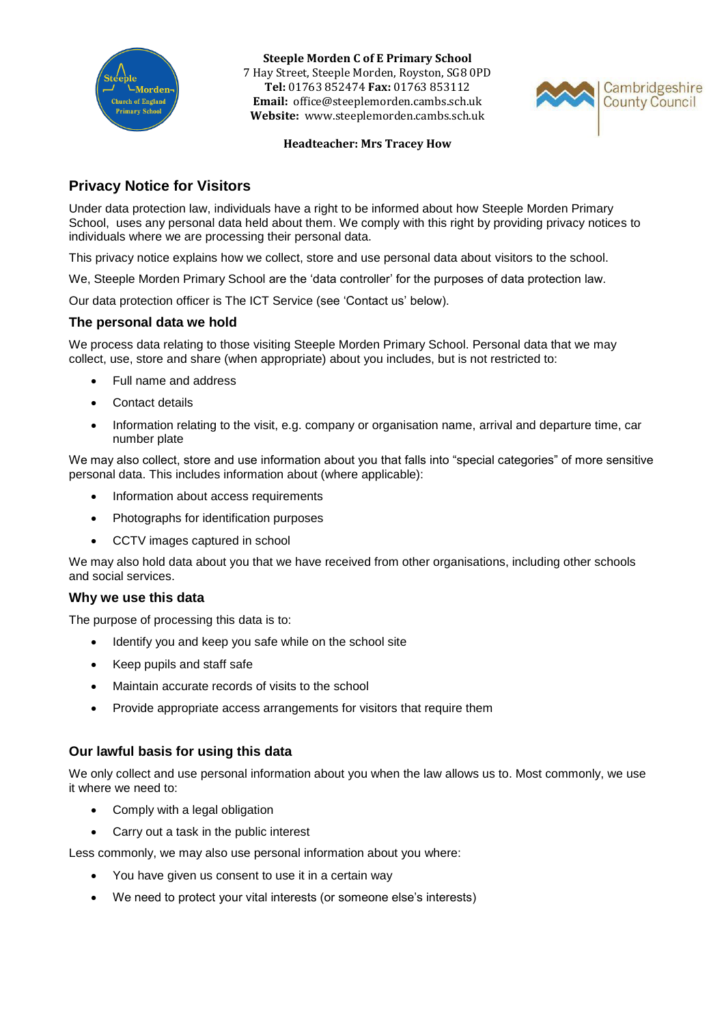

**Steeple Morden C of E Primary School** 7 Hay Street, Steeple Morden, Royston, SG8 0PD **Tel:** 01763 852474 **Fax:** 01763 853112 **Email:** office@steeplemorden.cambs.sch.uk **Website:** www.steeplemorden.cambs.sch.uk



#### **Headteacher: Mrs Tracey How**

# **Privacy Notice for Visitors**

Under data protection law, individuals have a right to be informed about how Steeple Morden Primary School, uses any personal data held about them. We comply with this right by providing privacy notices to individuals where we are processing their personal data.

This privacy notice explains how we collect, store and use personal data about visitors to the school.

We, Steeple Morden Primary School are the 'data controller' for the purposes of data protection law.

Our data protection officer is The ICT Service (see 'Contact us' below).

### **The personal data we hold**

We process data relating to those visiting Steeple Morden Primary School. Personal data that we may collect, use, store and share (when appropriate) about you includes, but is not restricted to:

- Full name and address
- Contact details
- Information relating to the visit, e.g. company or organisation name, arrival and departure time, car number plate

We may also collect, store and use information about you that falls into "special categories" of more sensitive personal data. This includes information about (where applicable):

- Information about access requirements
- Photographs for identification purposes
- CCTV images captured in school

We may also hold data about you that we have received from other organisations, including other schools and social services.

### **Why we use this data**

The purpose of processing this data is to:

- Identify you and keep you safe while on the school site
- Keep pupils and staff safe
- Maintain accurate records of visits to the school
- Provide appropriate access arrangements for visitors that require them

### **Our lawful basis for using this data**

We only collect and use personal information about you when the law allows us to. Most commonly, we use it where we need to:

- Comply with a legal obligation
- Carry out a task in the public interest

Less commonly, we may also use personal information about you where:

- You have given us consent to use it in a certain way
- We need to protect your vital interests (or someone else's interests)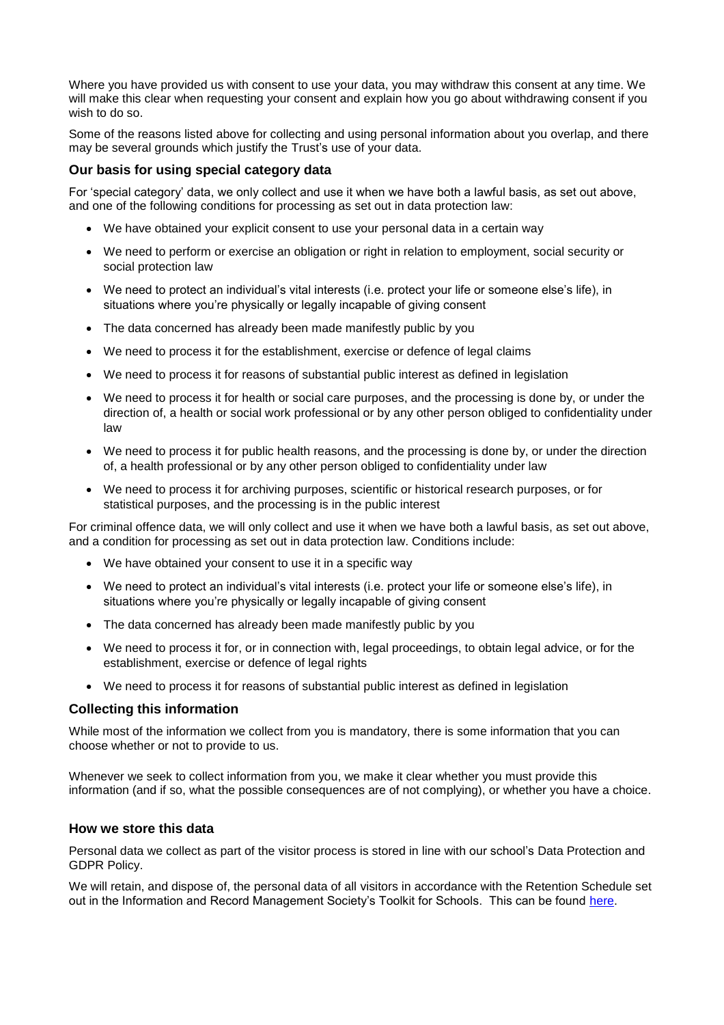Where you have provided us with consent to use your data, you may withdraw this consent at any time. We will make this clear when requesting your consent and explain how you go about withdrawing consent if you wish to do so.

Some of the reasons listed above for collecting and using personal information about you overlap, and there may be several grounds which justify the Trust's use of your data.

### **Our basis for using special category data**

For 'special category' data, we only collect and use it when we have both a lawful basis, as set out above, and one of the following conditions for processing as set out in data protection law:

- We have obtained your explicit consent to use your personal data in a certain way
- We need to perform or exercise an obligation or right in relation to employment, social security or social protection law
- We need to protect an individual's vital interests (i.e. protect your life or someone else's life), in situations where you're physically or legally incapable of giving consent
- The data concerned has already been made manifestly public by you
- We need to process it for the establishment, exercise or defence of legal claims
- We need to process it for reasons of substantial public interest as defined in legislation
- We need to process it for health or social care purposes, and the processing is done by, or under the direction of, a health or social work professional or by any other person obliged to confidentiality under law
- We need to process it for public health reasons, and the processing is done by, or under the direction of, a health professional or by any other person obliged to confidentiality under law
- We need to process it for archiving purposes, scientific or historical research purposes, or for statistical purposes, and the processing is in the public interest

For criminal offence data, we will only collect and use it when we have both a lawful basis, as set out above, and a condition for processing as set out in data protection law. Conditions include:

- We have obtained your consent to use it in a specific way
- We need to protect an individual's vital interests (i.e. protect your life or someone else's life), in situations where you're physically or legally incapable of giving consent
- The data concerned has already been made manifestly public by you
- We need to process it for, or in connection with, legal proceedings, to obtain legal advice, or for the establishment, exercise or defence of legal rights
- We need to process it for reasons of substantial public interest as defined in legislation

### **Collecting this information**

While most of the information we collect from you is mandatory, there is some information that you can choose whether or not to provide to us.

Whenever we seek to collect information from you, we make it clear whether you must provide this information (and if so, what the possible consequences are of not complying), or whether you have a choice.

### **How we store this data**

Personal data we collect as part of the visitor process is stored in line with our school's Data Protection and GDPR Policy.

We will retain, and dispose of, the personal data of all visitors in accordance with the Retention Schedule set out in the Information and Record Management Society's Toolkit for Schools. This can be found [here.](http://irms.org.uk/?page=schoolstoolkit&terms=%22toolkit+and+schools%22)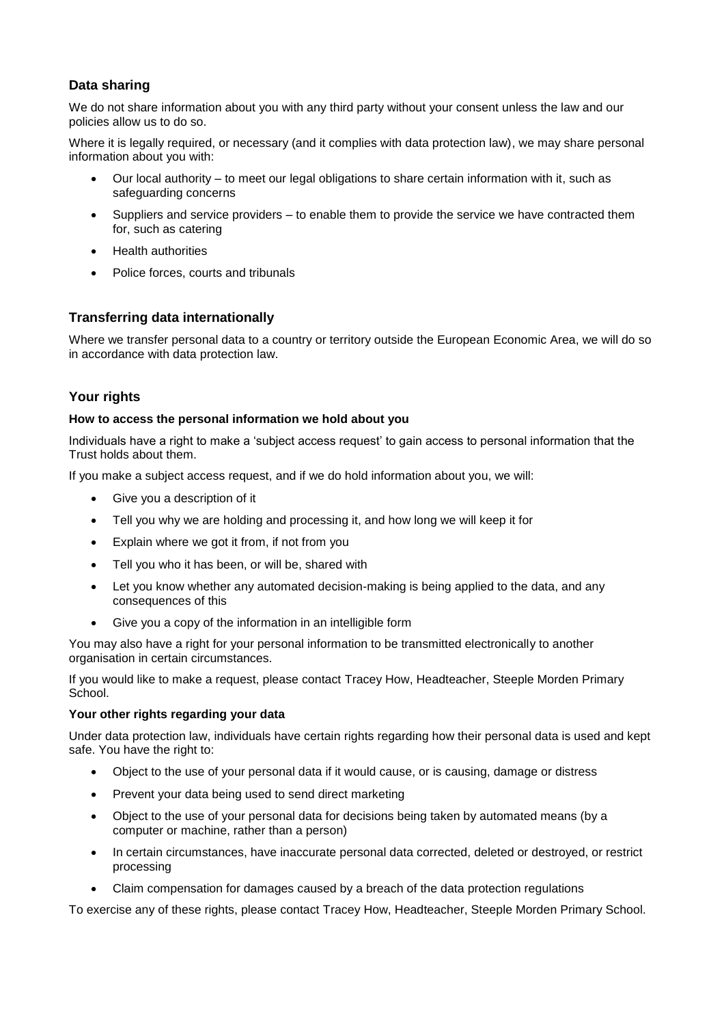## **Data sharing**

We do not share information about you with any third party without your consent unless the law and our policies allow us to do so.

Where it is legally required, or necessary (and it complies with data protection law), we may share personal information about you with:

- Our local authority to meet our legal obligations to share certain information with it, such as safeguarding concerns
- Suppliers and service providers to enable them to provide the service we have contracted them for, such as catering
- Health authorities
- Police forces, courts and tribunals

## **Transferring data internationally**

Where we transfer personal data to a country or territory outside the European Economic Area, we will do so in accordance with data protection law.

## **Your rights**

### **How to access the personal information we hold about you**

Individuals have a right to make a 'subject access request' to gain access to personal information that the Trust holds about them.

If you make a subject access request, and if we do hold information about you, we will:

- Give you a description of it
- Tell you why we are holding and processing it, and how long we will keep it for
- Explain where we got it from, if not from you
- Tell you who it has been, or will be, shared with
- Let you know whether any automated decision-making is being applied to the data, and any consequences of this
- Give you a copy of the information in an intelligible form

You may also have a right for your personal information to be transmitted electronically to another organisation in certain circumstances.

If you would like to make a request, please contact Tracey How, Headteacher, Steeple Morden Primary School.

### **Your other rights regarding your data**

Under data protection law, individuals have certain rights regarding how their personal data is used and kept safe. You have the right to:

- Object to the use of your personal data if it would cause, or is causing, damage or distress
- Prevent your data being used to send direct marketing
- Object to the use of your personal data for decisions being taken by automated means (by a computer or machine, rather than a person)
- In certain circumstances, have inaccurate personal data corrected, deleted or destroyed, or restrict processing
- Claim compensation for damages caused by a breach of the data protection regulations

To exercise any of these rights, please contact Tracey How, Headteacher, Steeple Morden Primary School.